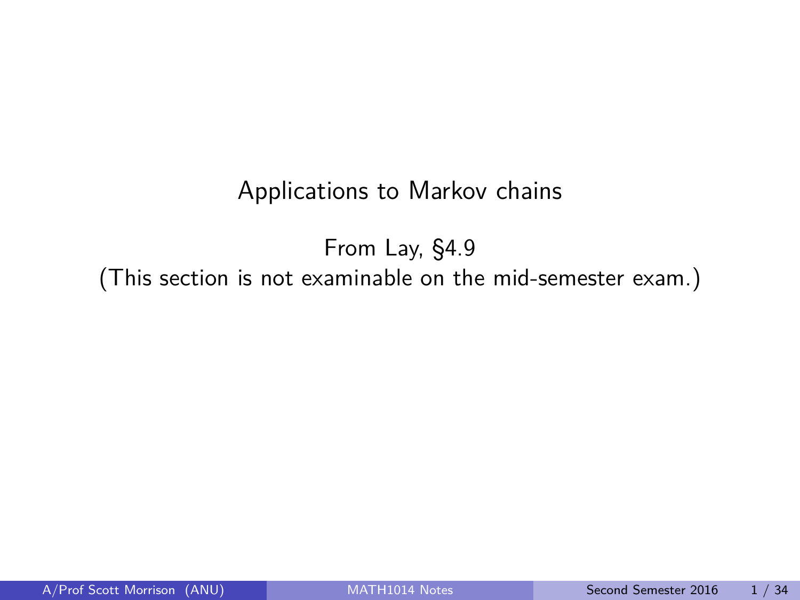### Applications to Markov chains

<span id="page-0-0"></span>From Lay, §4.9 (This section is not examinable on the mid-semester exam.)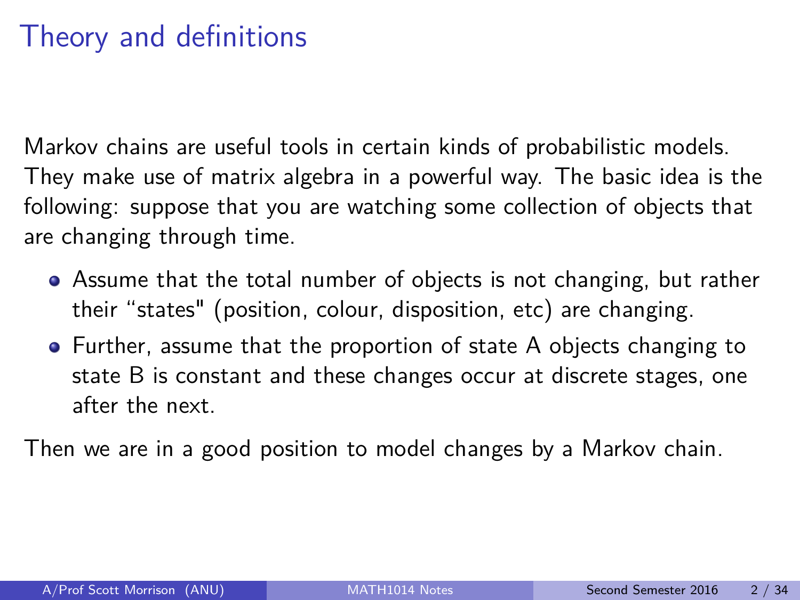## Theory and definitions

Markov chains are useful tools in certain kinds of probabilistic models. They make use of matrix algebra in a powerful way. The basic idea is the following: suppose that you are watching some collection of objects that are changing through time.

- Assume that the total number of objects is not changing, but rather their "states" (position, colour, disposition, etc) are changing.
- Further, assume that the proportion of state A objects changing to state B is constant and these changes occur at discrete stages, one after the next.

Then we are in a good position to model changes by a Markov chain.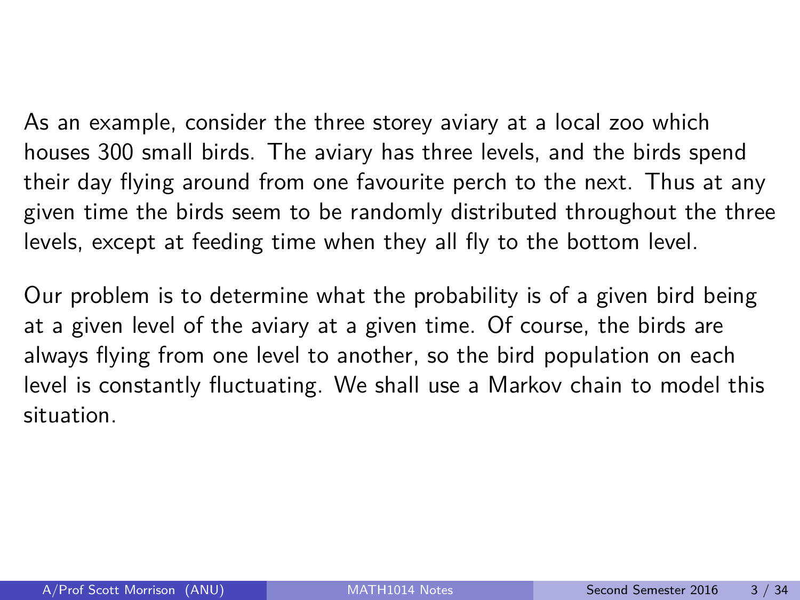As an example, consider the three storey aviary at a local zoo which houses 300 small birds. The aviary has three levels, and the birds spend their day flying around from one favourite perch to the next. Thus at any given time the birds seem to be randomly distributed throughout the three levels, except at feeding time when they all fly to the bottom level.

Our problem is to determine what the probability is of a given bird being at a given level of the aviary at a given time. Of course, the birds are always flying from one level to another, so the bird population on each level is constantly fluctuating. We shall use a Markov chain to model this situation.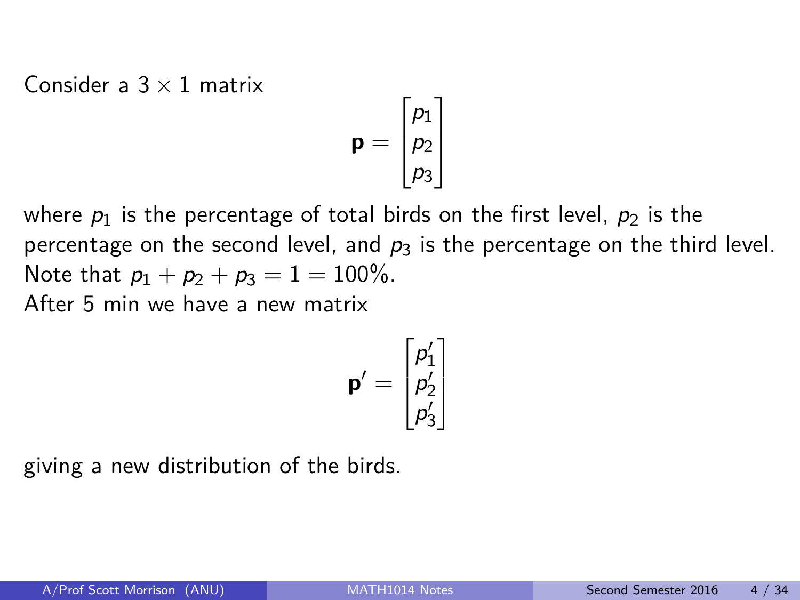Consider a  $3 \times 1$  matrix

$$
\mathbf{p} = \begin{bmatrix} p_1 \\ p_2 \\ p_3 \end{bmatrix}
$$

where  $p_1$  is the percentage of total birds on the first level,  $p_2$  is the percentage on the second level, and  $p_3$  is the percentage on the third level. Note that  $p_1 + p_2 + p_3 = 1 = 100\%$ . After 5 min we have a new matrix

$$
\mathbf{p}' = \begin{bmatrix} p'_1 \\ p'_2 \\ p'_3 \end{bmatrix}
$$

giving a new distribution of the birds.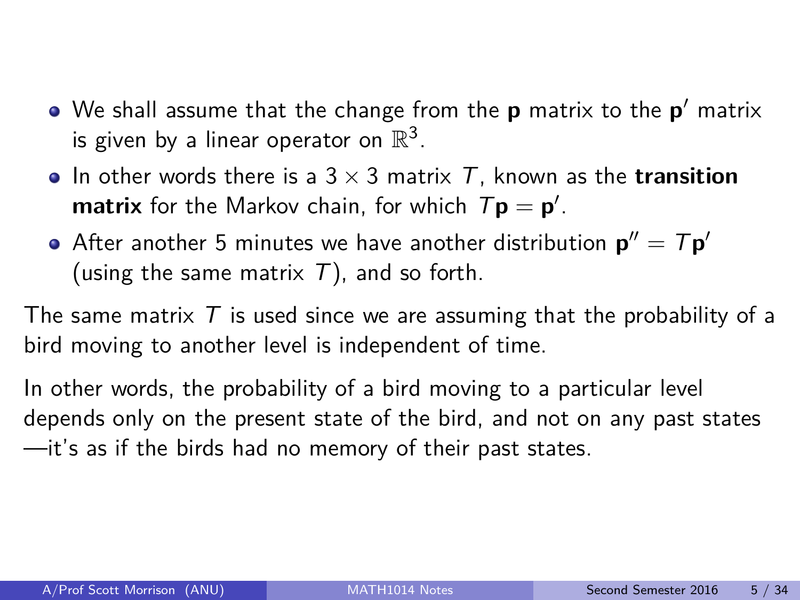- We shall assume that the change from the **p** matrix to the **p** <sup>0</sup> matrix is given by a linear operator on  $\mathbb{R}^3$ .
- In other words there is a  $3 \times 3$  matrix T, known as the **transition matrix** for the Markov chain, for which  $T\mathbf{p} = \mathbf{p}'$ .
- After another 5 minutes we have another distribution  $\mathbf{p}'' = T \mathbf{p}'$ (using the same matrix  $T$ ), and so forth.

The same matrix  $T$  is used since we are assuming that the probability of a bird moving to another level is independent of time.

In other words, the probability of a bird moving to a particular level depends only on the present state of the bird, and not on any past states —it's as if the birds had no memory of their past states.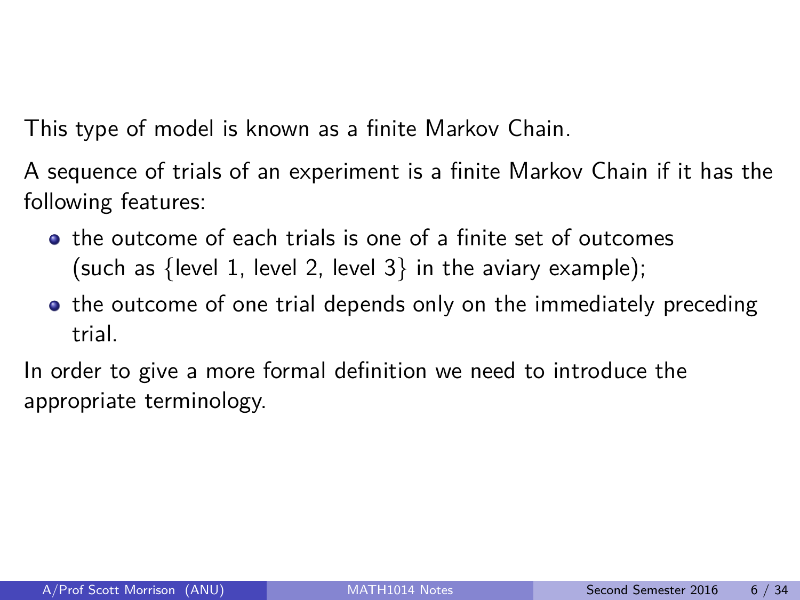This type of model is known as a finite Markov Chain.

A sequence of trials of an experiment is a finite Markov Chain if it has the following features:

- $\bullet$  the outcome of each trials is one of a finite set of outcomes (such as {level 1, level 2, level  $3$ } in the aviary example);
- the outcome of one trial depends only on the immediately preceding trial.

In order to give a more formal definition we need to introduce the appropriate terminology.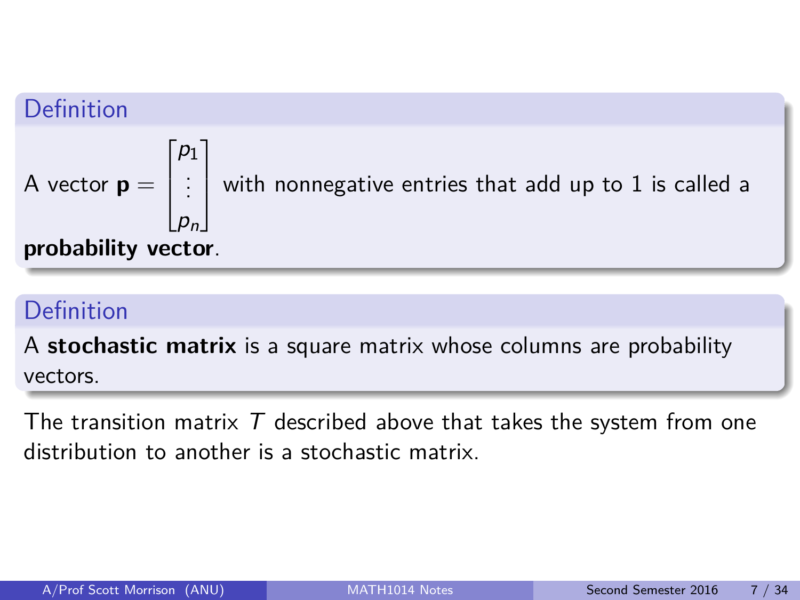### Definition

A vector 
$$
\mathbf{p} = \begin{bmatrix} p_1 \\ \vdots \\ p_n \end{bmatrix}
$$
 with nonnegative entries that add up to 1 is called a **probability vector**.

## Definition

A **stochastic matrix** is a square matrix whose columns are probability vectors.

The transition matrix  $T$  described above that takes the system from one distribution to another is a stochastic matrix.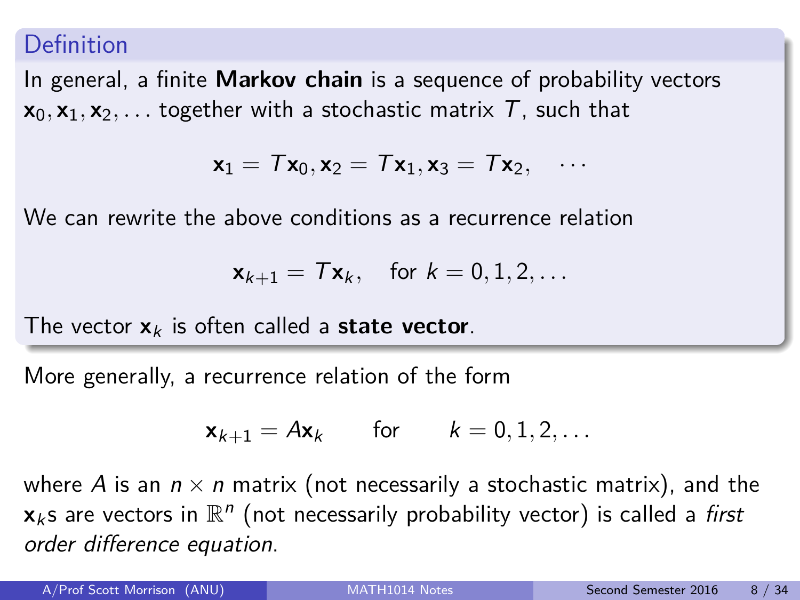#### Definition

In general, a finite **Markov chain** is a sequence of probability vectors  $x_0, x_1, x_2, \ldots$  together with a stochastic matrix T, such that

$$
\textbf{x}_1 = \textit{T} \textbf{x}_0, \textbf{x}_2 = \textit{T} \textbf{x}_1, \textbf{x}_3 = \textit{T} \textbf{x}_2, \quad \cdots
$$

We can rewrite the above conditions as a recurrence relation

$$
\mathbf{x}_{k+1} = \mathcal{T}\mathbf{x}_k, \quad \text{for } k = 0, 1, 2, \dots
$$

The vector  $x_k$  is often called a **state vector**.

More generally, a recurrence relation of the form

$$
\mathbf{x}_{k+1} = A\mathbf{x}_k \quad \text{for} \quad k = 0, 1, 2, \dots
$$

where A is an  $n \times n$  matrix (not necessarily a stochastic matrix), and the  $\mathbf{x}_k$ s are vectors in  $\mathbb{R}^n$  (not necessarily probability vector) is called a *first* order difference equation.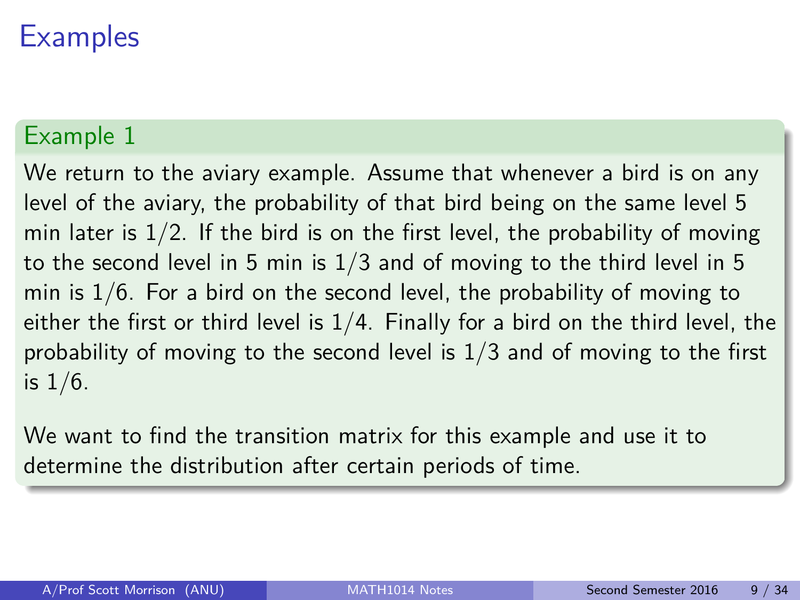### Example 1

We return to the aviary example. Assume that whenever a bird is on any level of the aviary, the probability of that bird being on the same level 5 min later is  $1/2$ . If the bird is on the first level, the probability of moving to the second level in 5 min is  $1/3$  and of moving to the third level in 5 min is  $1/6$ . For a bird on the second level, the probability of moving to either the first or third level is  $1/4$ . Finally for a bird on the third level, the probability of moving to the second level is 1/3 and of moving to the first is  $1/6$ .

We want to find the transition matrix for this example and use it to determine the distribution after certain periods of time.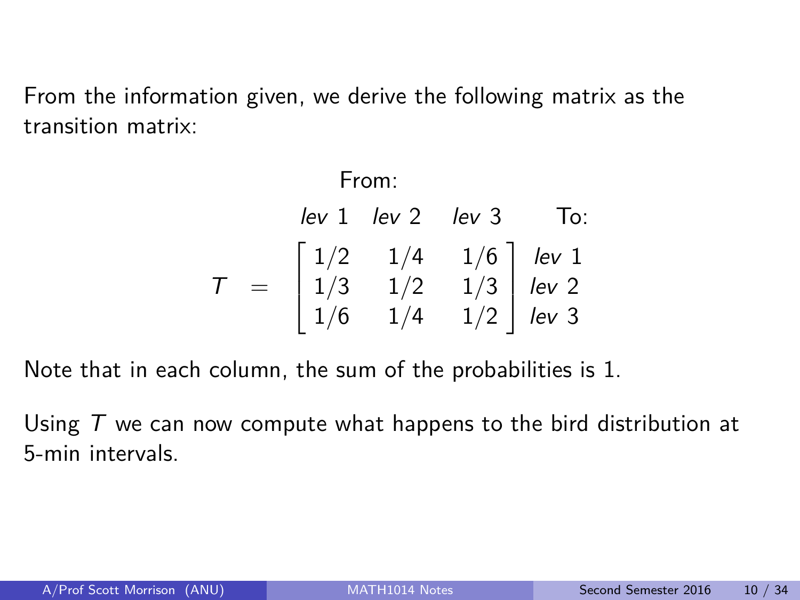From the information given, we derive the following matrix as the transition matrix:

From:  
\n
$$
lev \ 1 \ \text{lev} \ 2 \ \text{lev} \ 3 \ \text{To:}
$$
  
\n $T = \begin{bmatrix} 1/2 & 1/4 & 1/6 \\ 1/3 & 1/2 & 1/3 \\ 1/6 & 1/4 & 1/2 \end{bmatrix} \begin{bmatrix} lev \ 1 \\ lev \ 2 \\ lev \ 3 \end{bmatrix}$ 

Note that in each column, the sum of the probabilities is 1.

Using  $T$  we can now compute what happens to the bird distribution at 5-min intervals.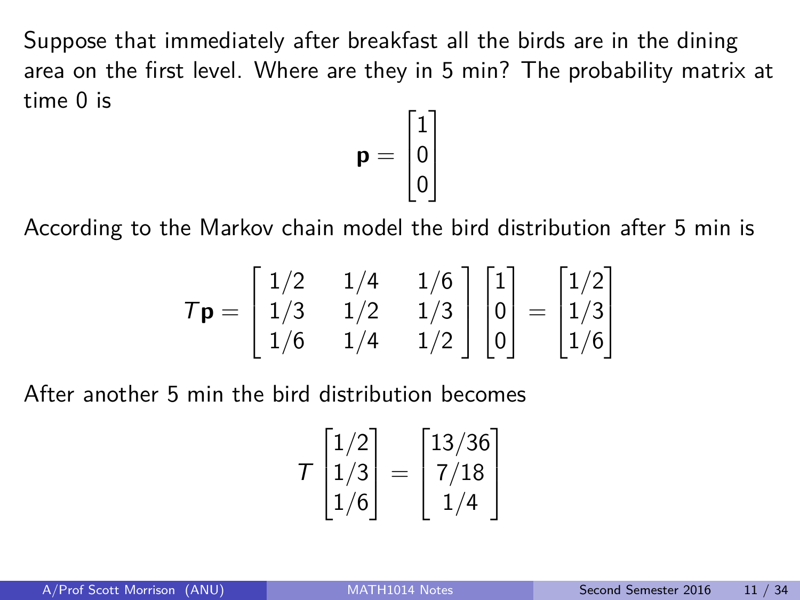Suppose that immediately after breakfast all the birds are in the dining area on the first level. Where are they in 5 min? The probability matrix at time 0 is

$$
\mathbf{p} = \begin{bmatrix} 1 \\ 0 \\ 0 \end{bmatrix}
$$

According to the Markov chain model the bird distribution after 5 min is

$$
T\mathbf{p} = \begin{bmatrix} 1/2 & 1/4 & 1/6 \\ 1/3 & 1/2 & 1/3 \\ 1/6 & 1/4 & 1/2 \end{bmatrix} \begin{bmatrix} 1 \\ 0 \\ 0 \end{bmatrix} = \begin{bmatrix} 1/2 \\ 1/3 \\ 1/6 \end{bmatrix}
$$

After another 5 min the bird distribution becomes

$$
T\begin{bmatrix}1/2\\1/3\\1/6\end{bmatrix}=\begin{bmatrix}13/36\\7/18\\1/4\end{bmatrix}
$$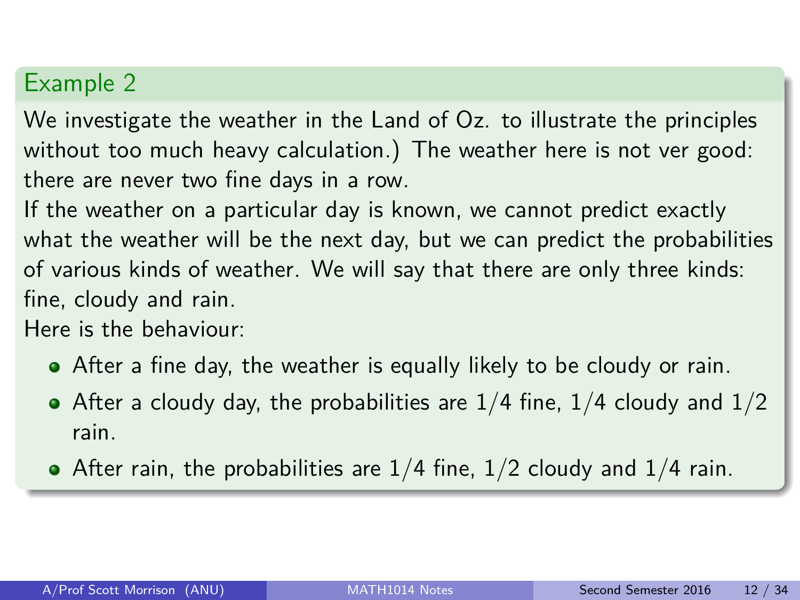We investigate the weather in the Land of Oz. to illustrate the principles without too much heavy calculation.) The weather here is not ver good: there are never two fine days in a row.

If the weather on a particular day is known, we cannot predict exactly what the weather will be the next day, but we can predict the probabilities of various kinds of weather. We will say that there are only three kinds: fine, cloudy and rain.

Here is the behaviour:

- After a fine day, the weather is equally likely to be cloudy or rain.
- After a cloudy day, the probabilities are  $1/4$  fine,  $1/4$  cloudy and  $1/2$ rain.
- After rain, the probabilities are  $1/4$  fine,  $1/2$  cloudy and  $1/4$  rain.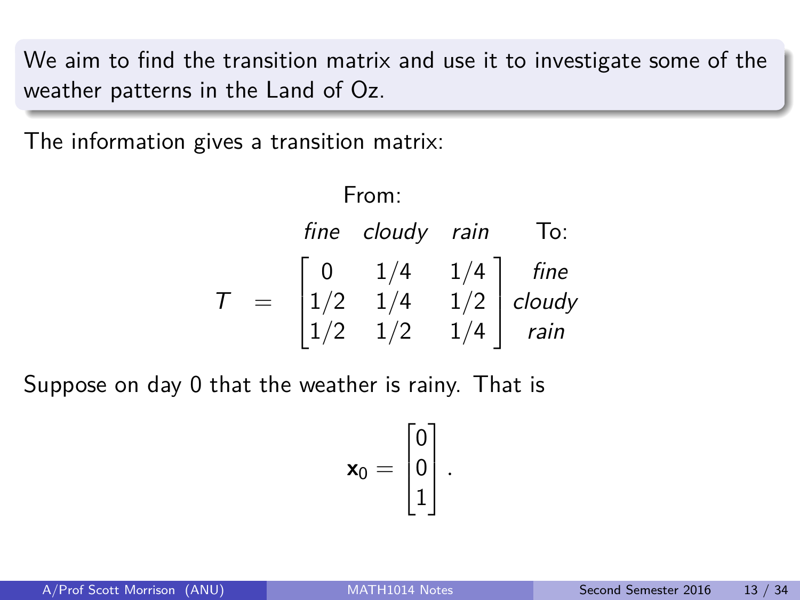We aim to find the transition matrix and use it to investigate some of the weather patterns in the Land of Oz.

The information gives a transition matrix:

From: fine cloudy rain To:  $T =$  $\sqrt{ }$  $\overline{\phantom{a}}$ 0 1*/*4 1*/*4 1*/*2 1*/*4 1*/*2 1*/*2 1*/*2 1*/*4 1  $\overline{\phantom{a}}$ fine cloudy rain

Suppose on day 0 that the weather is rainy. That is

$$
\mathbf{x}_0 = \begin{bmatrix} 0 \\ 0 \\ 1 \end{bmatrix}.
$$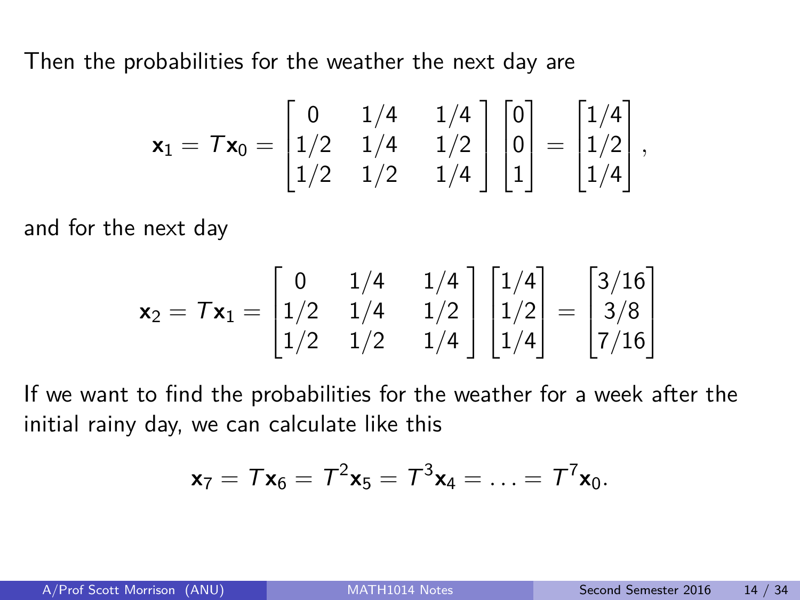Then the probabilities for the weather the next day are

$$
\mathbf{x}_1 = \mathcal{T}\mathbf{x}_0 = \begin{bmatrix} 0 & 1/4 & 1/4 \\ 1/2 & 1/4 & 1/2 \\ 1/2 & 1/2 & 1/4 \end{bmatrix} \begin{bmatrix} 0 \\ 0 \\ 1 \end{bmatrix} = \begin{bmatrix} 1/4 \\ 1/2 \\ 1/4 \end{bmatrix},
$$

and for the next day

$$
\mathbf{x}_2 = \mathcal{T}\mathbf{x}_1 = \begin{bmatrix} 0 & 1/4 & 1/4 \\ 1/2 & 1/4 & 1/2 \\ 1/2 & 1/2 & 1/4 \end{bmatrix} \begin{bmatrix} 1/4 \\ 1/2 \\ 1/4 \end{bmatrix} = \begin{bmatrix} 3/16 \\ 3/8 \\ 7/16 \end{bmatrix}
$$

If we want to find the probabilities for the weather for a week after the initial rainy day, we can calculate like this

$$
\mathbf{x}_7 = T\mathbf{x}_6 = T^2\mathbf{x}_5 = T^3\mathbf{x}_4 = \ldots = T^7\mathbf{x}_0.
$$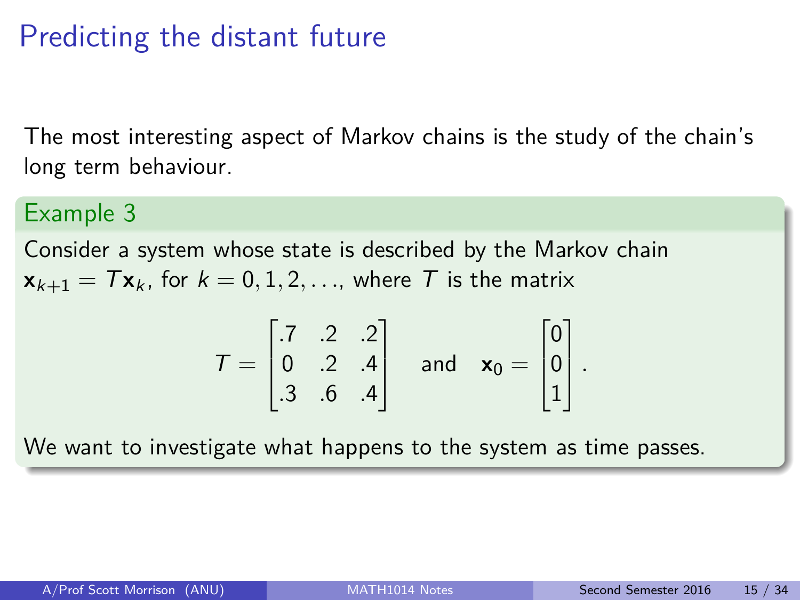# Predicting the distant future

The most interesting aspect of Markov chains is the study of the chain's long term behaviour.

#### Example 3

Consider a system whose state is described by the Markov chain  $\mathbf{x}_{k+1} = T\mathbf{x}_k$ , for  $k = 0, 1, 2, \ldots$ , where T is the matrix

$$
\mathcal{T} = \begin{bmatrix} .7 & .2 & .2 \\ 0 & .2 & .4 \\ .3 & .6 & .4 \end{bmatrix} \text{ and } \mathbf{x}_0 = \begin{bmatrix} 0 \\ 0 \\ 1 \end{bmatrix}.
$$

We want to investigate what happens to the system as time passes.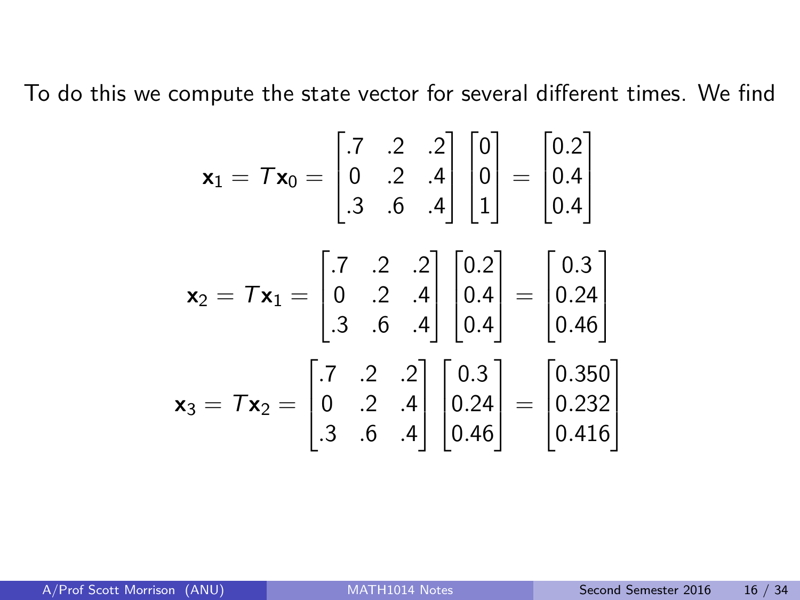To do this we compute the state vector for several different times. We find

$$
\mathbf{x}_1 = \mathcal{T}\mathbf{x}_0 = \begin{bmatrix} .7 & .2 & .2 \\ 0 & .2 & .4 \\ .3 & .6 & .4 \end{bmatrix} \begin{bmatrix} 0 \\ 0 \\ 1 \end{bmatrix} = \begin{bmatrix} 0.2 \\ 0.4 \\ 0.4 \end{bmatrix}
$$

$$
\mathbf{x}_2 = \mathcal{T}\mathbf{x}_1 = \begin{bmatrix} .7 & .2 & .2 \\ 0 & .2 & .4 \\ .3 & .6 & .4 \end{bmatrix} \begin{bmatrix} 0.2 \\ 0.4 \\ 0.4 \end{bmatrix} = \begin{bmatrix} 0.3 \\ 0.24 \\ 0.46 \end{bmatrix}
$$

$$
\mathbf{x}_3 = \mathcal{T}\mathbf{x}_2 = \begin{bmatrix} .7 & .2 & .2 \\ 0 & .2 & .4 \\ .3 & .6 & .4 \end{bmatrix} \begin{bmatrix} 0.3 \\ 0.24 \\ 0.46 \end{bmatrix} = \begin{bmatrix} 0.350 \\ 0.232 \\ 0.416 \end{bmatrix}
$$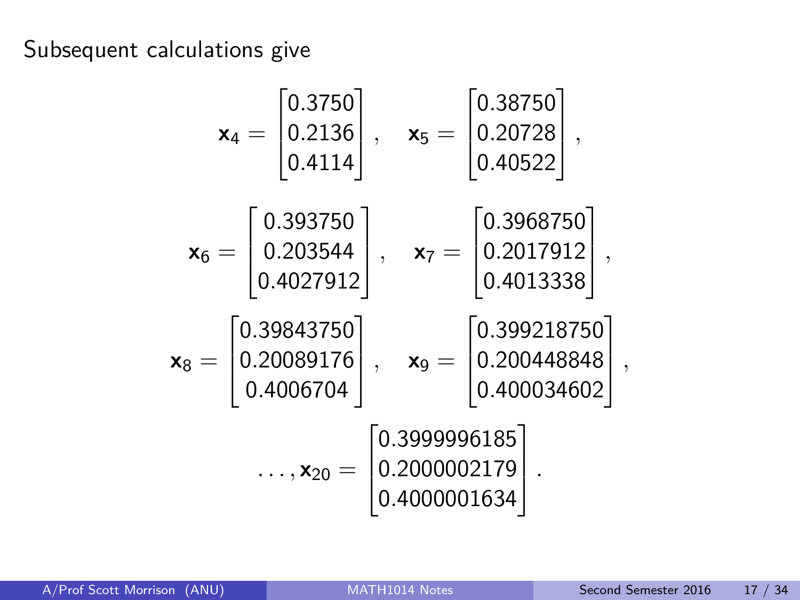Subsequent calculations give

$$
\mathbf{x}_4 = \begin{bmatrix} 0.3750 \\ 0.2136 \\ 0.4114 \end{bmatrix}, \quad \mathbf{x}_5 = \begin{bmatrix} 0.38750 \\ 0.20728 \\ 0.40522 \end{bmatrix},
$$

$$
\mathbf{x}_6 = \begin{bmatrix} 0.393750 \\ 0.203544 \\ 0.4027912 \end{bmatrix}, \quad \mathbf{x}_7 = \begin{bmatrix} 0.3968750 \\ 0.2017912 \\ 0.4013338 \end{bmatrix},
$$

$$
\mathbf{x}_8 = \begin{bmatrix} 0.39843750 \\ 0.20089176 \\ 0.4006704 \end{bmatrix}, \quad \mathbf{x}_9 = \begin{bmatrix} 0.399218750 \\ 0.200448848 \\ 0.400034602 \end{bmatrix}
$$

$$
\dots, \mathbf{x}_{20} = \begin{bmatrix} 0.3999996185 \\ 0.2000002179 \\ 0.4000001634 \end{bmatrix}.
$$

*,*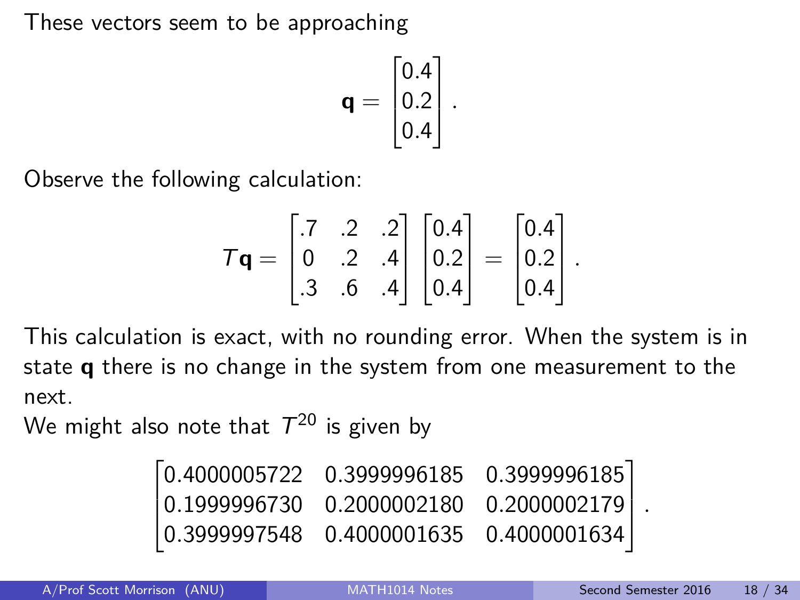These vectors seem to be approaching

$$
\mathbf{q} = \begin{bmatrix} 0.4 \\ 0.2 \\ 0.4 \end{bmatrix}.
$$

Observe the following calculation:

$$
\mathbf{Tq} = \begin{bmatrix} .7 & .2 & .2 \\ 0 & .2 & .4 \\ .3 & .6 & .4 \end{bmatrix} \begin{bmatrix} 0.4 \\ 0.2 \\ 0.4 \end{bmatrix} = \begin{bmatrix} 0.4 \\ 0.2 \\ 0.4 \end{bmatrix}.
$$

This calculation is exact, with no rounding error. When the system is in state **q** there is no change in the system from one measurement to the next.

We might also note that  $\mathcal{T}^{20}$  is given by

|  | $\begin{bmatrix} 0.4000005722 & 0.3999996185 & 0.3999996185 \end{bmatrix}$ |  |
|--|----------------------------------------------------------------------------|--|
|  | $\vert 0.1999996730 \quad 0.2000002180 \quad 0.2000002179 \vert$ .         |  |
|  | $\mid 0.3999997548 \quad 0.4000001635 \quad 0.4000001634 \mid$             |  |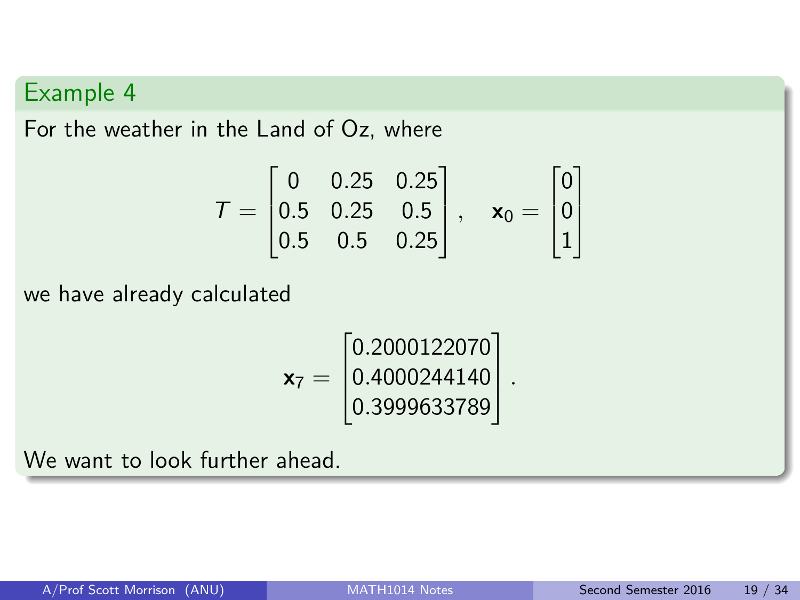For the weather in the Land of Oz, where

$$
\mathcal{T} = \begin{bmatrix} 0 & 0.25 & 0.25 \\ 0.5 & 0.25 & 0.5 \\ 0.5 & 0.5 & 0.25 \end{bmatrix}, \quad \mathbf{x}_0 = \begin{bmatrix} 0 \\ 0 \\ 1 \end{bmatrix}
$$

we have already calculated

$$
\mathbf{x}_7 = \begin{bmatrix} 0.2000122070 \\ 0.4000244140 \\ 0.3999633789 \end{bmatrix}.
$$

We want to look further ahead.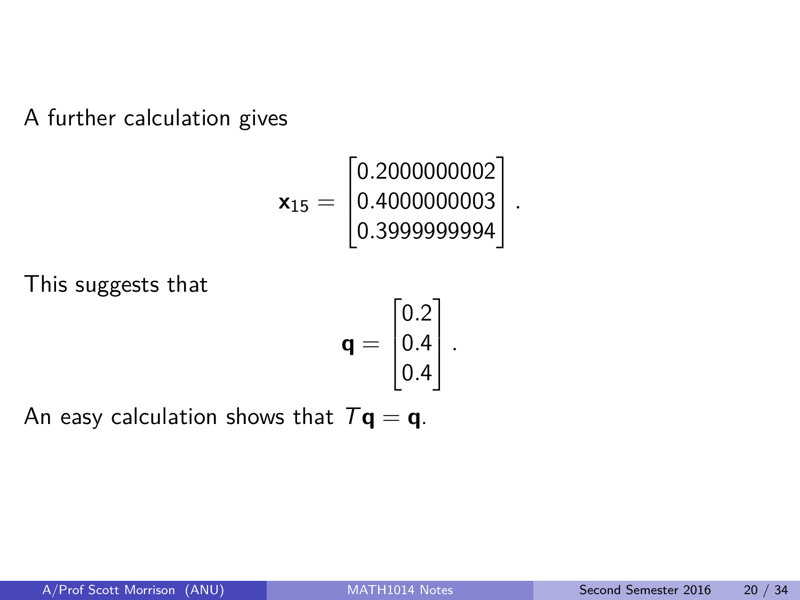A further calculation gives

$$
\textbf{x}_{15} = \begin{bmatrix} 0.2000000002\\ 0.4000000003\\ 0.3999999994 \end{bmatrix}.
$$

This suggests that

$$
\mathbf{q} = \begin{bmatrix} 0.2 \\ 0.4 \\ 0.4 \end{bmatrix}.
$$

An easy calculation shows that  $T\mathbf{q} = \mathbf{q}$ .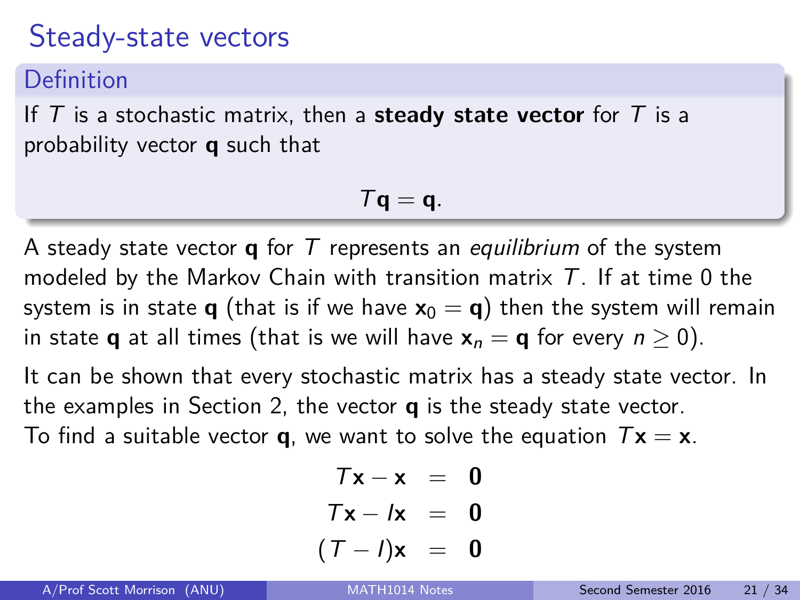## Steady-state vectors

Definition

If T is a stochastic matrix, then a **steady state vector** for T is a probability vector **q** such that

$$
\mathcal{T}\mathbf{q}=\mathbf{q}.
$$

A steady state vector **q** for T represents an equilibrium of the system modeled by the Markov Chain with transition matrix  $T$ . If at time 0 the system is in state **q** (that is if we have  $\mathbf{x}_0 = \mathbf{q}$ ) then the system will remain in state **q** at all times (that is we will have  $x_n = q$  for every  $n \ge 0$ ).

It can be shown that every stochastic matrix has a steady state vector. In the examples in Section 2, the vector **q** is the steady state vector. To find a suitable vector **q**, we want to solve the equation  $Tx = x$ .

$$
Tx - x = 0
$$
  
\n
$$
Tx - lx = 0
$$
  
\n
$$
(T - l)x = 0
$$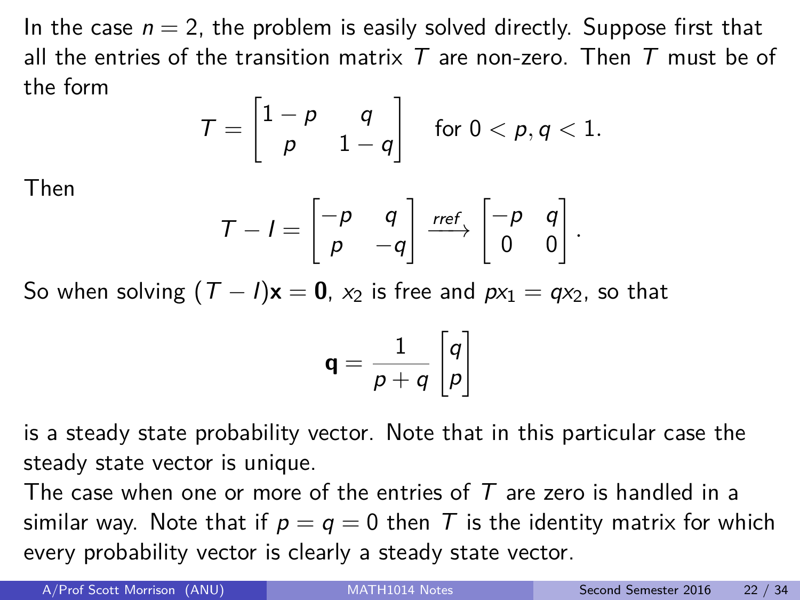In the case  $n = 2$ , the problem is easily solved directly. Suppose first that all the entries of the transition matrix T are non-zero. Then T must be of the form

$$
\mathcal{T} = \begin{bmatrix} 1-p & q \\ p & 1-q \end{bmatrix} \quad \text{for } 0 < p, q < 1.
$$

Then

$$
T - I = \begin{bmatrix} -p & q \\ p & -q \end{bmatrix} \xrightarrow{ref} \begin{bmatrix} -p & q \\ 0 & 0 \end{bmatrix}.
$$

So when solving  $(T - I)\mathbf{x} = \mathbf{0}$ ,  $x_2$  is free and  $px_1 = qx_2$ , so that

$$
\mathbf{q} = \frac{1}{p+q} \begin{bmatrix} q \\ p \end{bmatrix}
$$

is a steady state probability vector. Note that in this particular case the steady state vector is unique.

The case when one or more of the entries of  $T$  are zero is handled in a similar way. Note that if  $p = q = 0$  then T is the identity matrix for which every probability vector is clearly a steady state vector.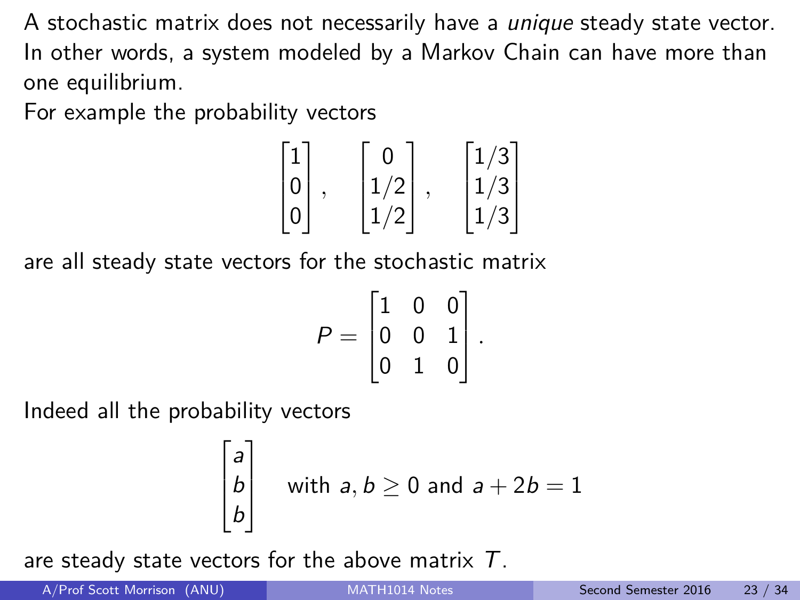A stochastic matrix does not necessarily have a *unique* steady state vector. In other words, a system modeled by a Markov Chain can have more than one equilibrium.

For example the probability vectors

$$
\begin{bmatrix} 1 \\ 0 \\ 0 \end{bmatrix}, \quad \begin{bmatrix} 0 \\ 1/2 \\ 1/2 \end{bmatrix}, \quad \begin{bmatrix} 1/3 \\ 1/3 \\ 1/3 \end{bmatrix}
$$

are all steady state vectors for the stochastic matrix

$$
P = \begin{bmatrix} 1 & 0 & 0 \\ 0 & 0 & 1 \\ 0 & 1 & 0 \end{bmatrix}.
$$

Indeed all the probability vectors

$$
\begin{bmatrix} a \\ b \\ b \end{bmatrix}
$$
 with  $a, b \ge 0$  and  $a + 2b = 1$ 

are steady state vectors for the above matrix  $T$ .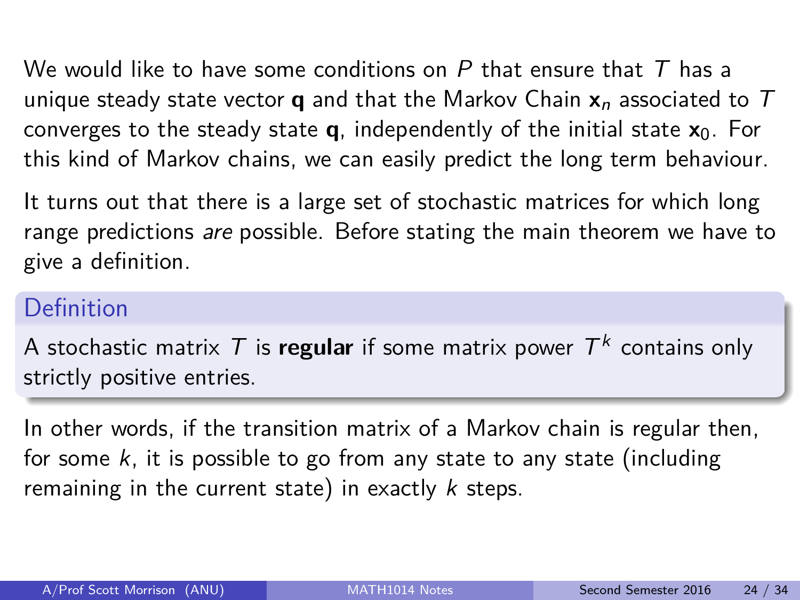We would like to have some conditions on P that ensure that T has a unique steady state vector **q** and that the Markov Chain  $x_n$  associated to T converges to the steady state  $q$ , independently of the initial state  $x_0$ . For this kind of Markov chains, we can easily predict the long term behaviour.

It turns out that there is a large set of stochastic matrices for which long range predictions are possible. Before stating the main theorem we have to give a definition.

#### Definition

A stochastic matrix  $\mathcal T$  is **regular** if some matrix power  $\mathcal T^k$  contains only strictly positive entries.

In other words, if the transition matrix of a Markov chain is regular then, for some  $k$ , it is possible to go from any state to any state (including remaining in the current state) in exactly  $k$  steps.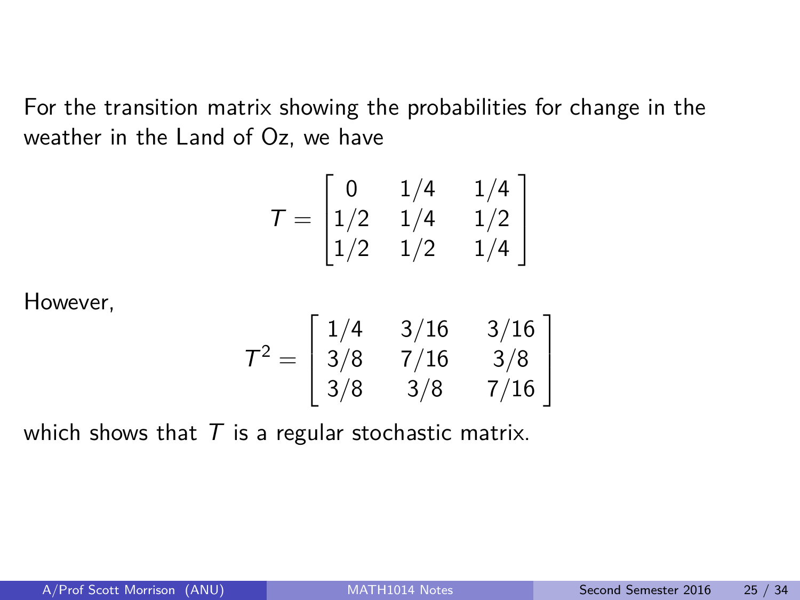For the transition matrix showing the probabilities for change in the weather in the Land of Oz, we have

$$
T = \begin{bmatrix} 0 & 1/4 & 1/4 \\ 1/2 & 1/4 & 1/2 \\ 1/2 & 1/2 & 1/4 \end{bmatrix}
$$

However,

$$
\mathcal{T}^2 = \left[ \begin{array}{ccc} 1/4 & 3/16 & 3/16 \\ 3/8 & 7/16 & 3/8 \\ 3/8 & 3/8 & 7/16 \end{array} \right]
$$

which shows that  $T$  is a regular stochastic matrix.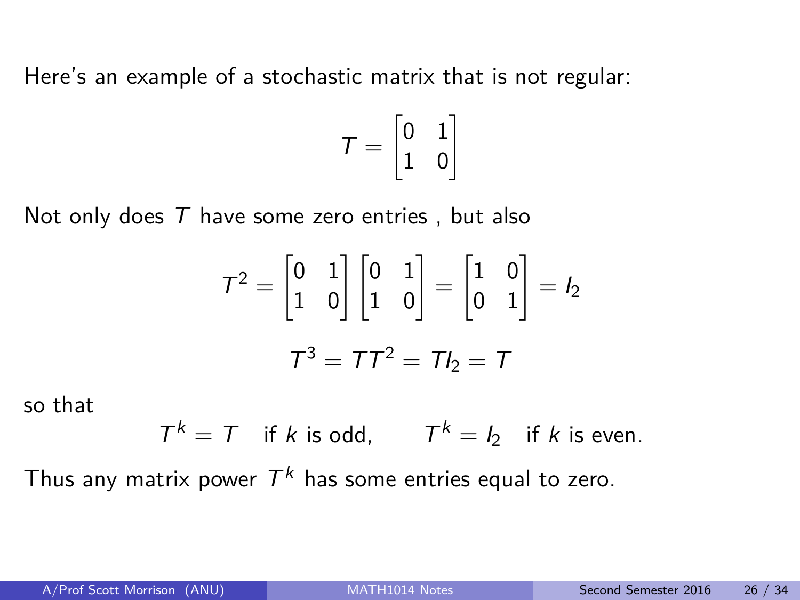Here's an example of a stochastic matrix that is not regular:

$$
\mathcal{T} = \begin{bmatrix} 0 & 1 \\ 1 & 0 \end{bmatrix}
$$

Not only does  $T$  have some zero entries, but also

$$
\mathcal{T}^2 = \begin{bmatrix} 0 & 1 \\ 1 & 0 \end{bmatrix} \begin{bmatrix} 0 & 1 \\ 1 & 0 \end{bmatrix} = \begin{bmatrix} 1 & 0 \\ 0 & 1 \end{bmatrix} = I_2
$$

$$
\mathcal{T}^3 = \mathcal{T}\mathcal{T}^2 = \mathcal{T}I_2 = \mathcal{T}
$$

so that

$$
T^k = T \quad \text{if } k \text{ is odd}, \qquad T^k = I_2 \quad \text{if } k \text{ is even}.
$$

Thus any matrix power  $\mathcal{T}^k$  has some entries equal to zero.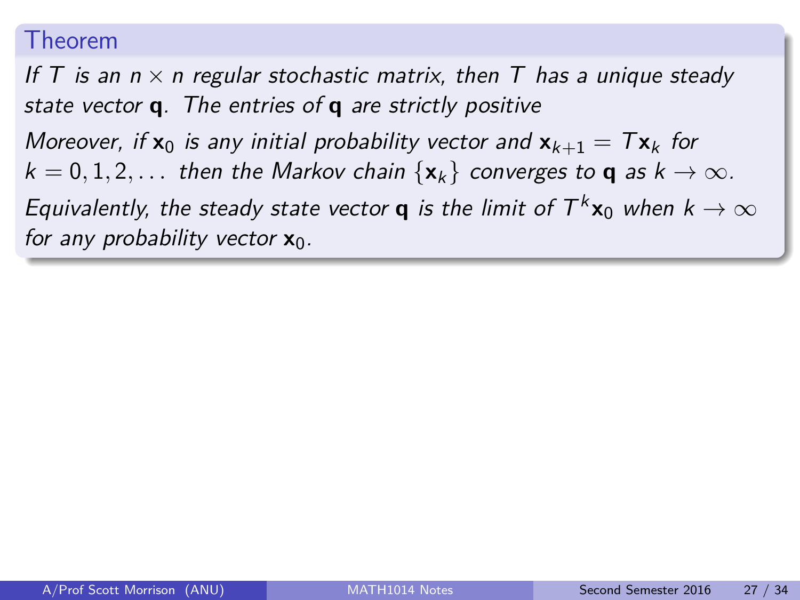#### Theorem

If T is an  $n \times n$  regular stochastic matrix, then T has a unique steady state vector **q**. The entries of **q** are strictly positive

Moreover, if  $x_0$  is any initial probability vector and  $x_{k+1} = Tx_k$  for  $k = 0, 1, 2, \ldots$  then the Markov chain  $\{x_k\}$  converges to **q** as  $k \to \infty$ . Equivalently, the steady state vector **q** is the limit of  $T^k$ **x**<sub>0</sub> when  $k \to \infty$ for any probability vector  $x_0$ .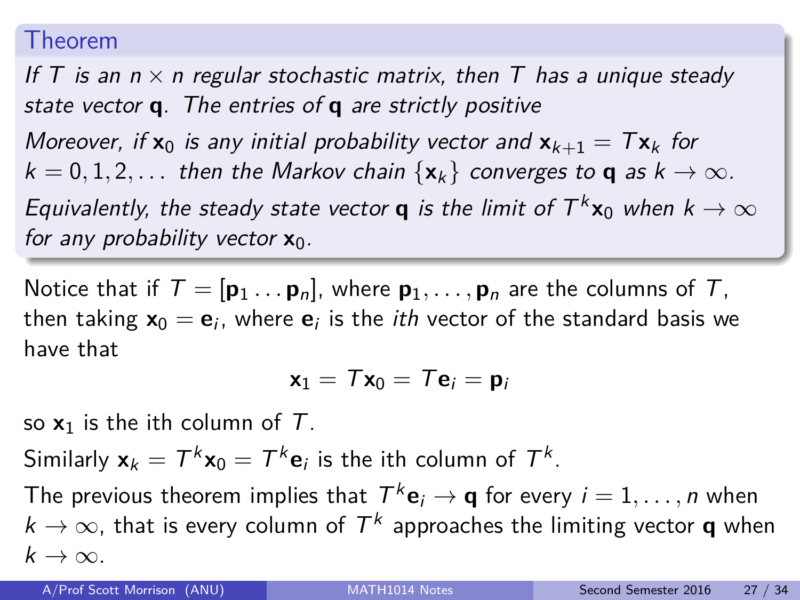#### Theorem

If T is an  $n \times n$  regular stochastic matrix, then T has a unique steady state vector **q**. The entries of **q** are strictly positive

Moreover, if  $x_0$  is any initial probability vector and  $x_{k+1} = Tx_k$  for  $k = 0, 1, 2, \ldots$  then the Markov chain  $\{x_k\}$  converges to **q** as  $k \to \infty$ . Equivalently, the steady state vector **q** is the limit of  $T^k$ **x**<sub>0</sub> when  $k \to \infty$ for any probability vector  $x_0$ .

Notice that if  $T = [\mathbf{p}_1 \dots \mathbf{p}_n]$ , where  $\mathbf{p}_1, \dots, \mathbf{p}_n$  are the columns of T, then taking  $\mathsf{x}_0 = \mathsf{e}_i$ , where  $\mathsf{e}_i$  is the *ith* vector of the standard basis we have that

$$
\mathbf{x}_1 = T\mathbf{x}_0 = T\mathbf{e}_i = \mathbf{p}_i
$$

so  $x_1$  is the ith column of  $T$ .

Similarly  $\mathbf{x}_k = T^k \mathbf{x}_0 = T^k \mathbf{e}_i$  is the ith column of  $T^k$ .

The previous theorem implies that  $T^k\mathbf{e}_i\to\mathbf{q}$  for every  $i=1,\ldots,n$  when  $k\rightarrow\infty$ , that is every column of  $\mathcal{T}^k$  approaches the limiting vector **q** when  $k \to \infty$ .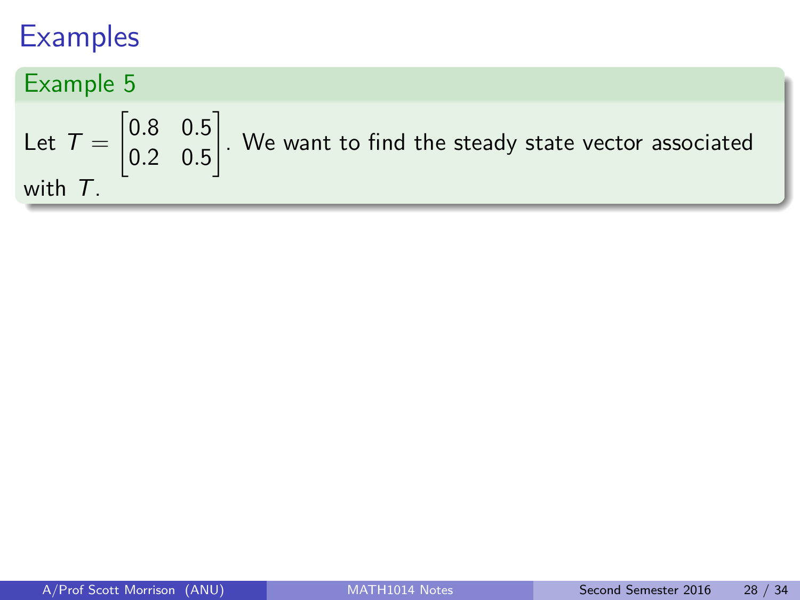Example 5 Let  $T =$  $\begin{bmatrix} 0.8 & 0.5 \end{bmatrix}$ 0*.*2 0*.*5 1 . We want to find the steady state vector associated with T.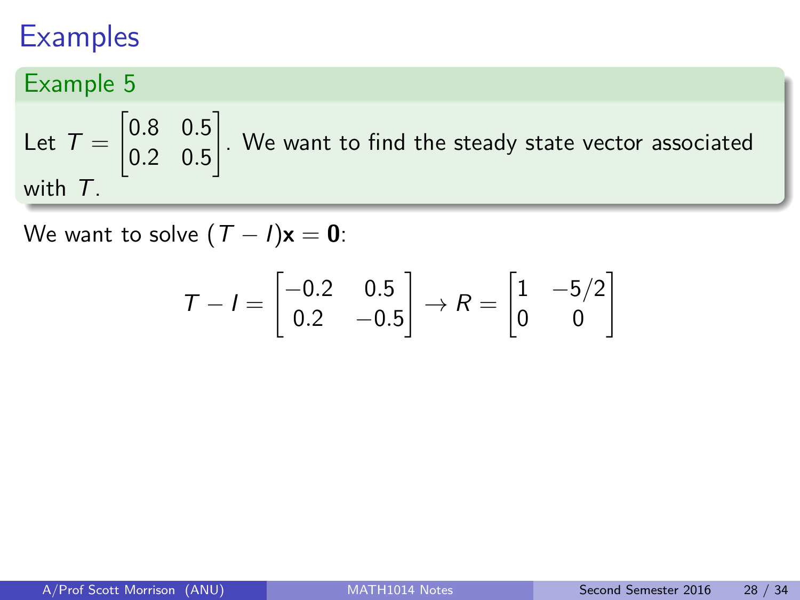## Example 5

Let  $T =$  $\begin{bmatrix} 0.8 & 0.5 \end{bmatrix}$ 0*.*2 0*.*5 1 . We want to find the steady state vector associated with T.

We want to solve  $(T - I)\mathbf{x} = \mathbf{0}$ :

$$
T - I = \begin{bmatrix} -0.2 & 0.5 \\ 0.2 & -0.5 \end{bmatrix} \rightarrow R = \begin{bmatrix} 1 & -5/2 \\ 0 & 0 \end{bmatrix}
$$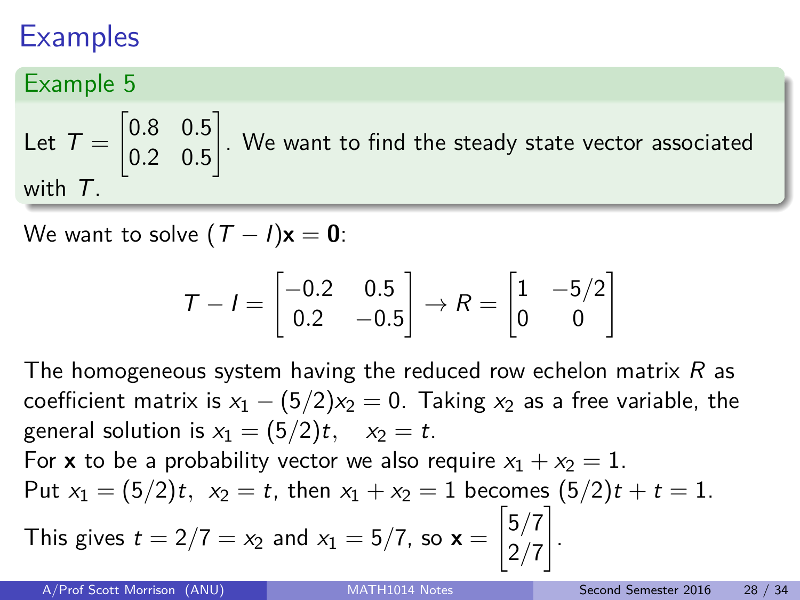## Example 5

Let  $T =$  $\begin{bmatrix} 0.8 & 0.5 \end{bmatrix}$ 0*.*2 0*.*5 1 . We want to find the steady state vector associated with  $T$ .

We want to solve  $(T - I)x = 0$ :

$$
T - I = \begin{bmatrix} -0.2 & 0.5 \\ 0.2 & -0.5 \end{bmatrix} \rightarrow R = \begin{bmatrix} 1 & -5/2 \\ 0 & 0 \end{bmatrix}
$$

The homogeneous system having the reduced row echelon matrix  $R$  as coefficient matrix is  $x_1 - (5/2)x_2 = 0$ . Taking  $x_2$  as a free variable, the general solution is  $x_1 = (5/2)t$ ,  $x_2 = t$ .

For **x** to be a probability vector we also require  $x_1 + x_2 = 1$ . Put  $x_1 = (5/2)t$ ,  $x_2 = t$ , then  $x_1 + x_2 = 1$  becomes  $(5/2)t + t = 1$ . This gives  $t = 2/7 = x_2$  and  $x_1 = 5/7$ , so  $\mathbf{x} =$  $\left\lceil \frac{5}{7} \right\rceil$ 2*/*7 1 .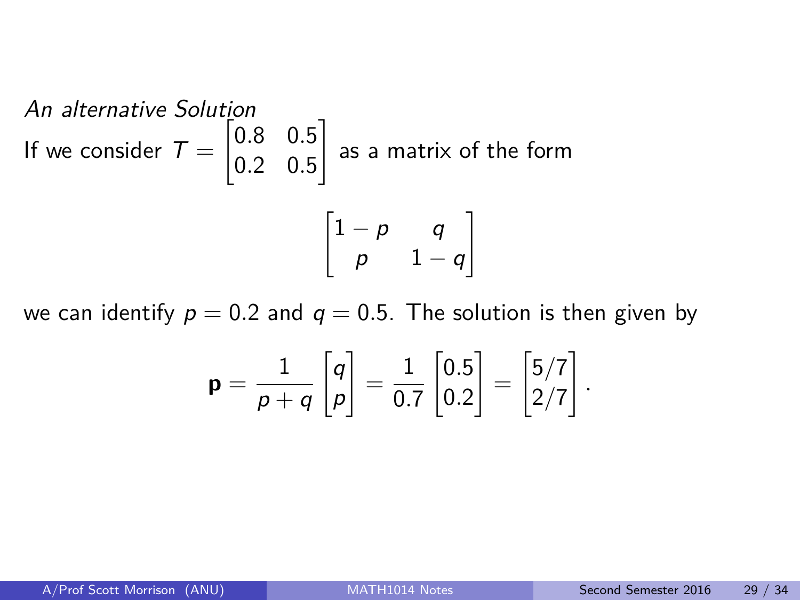An alternative Solution  
If we consider 
$$
T = \begin{bmatrix} 0.8 & 0.5 \\ 0.2 & 0.5 \end{bmatrix}
$$
 as a matrix of the form  

$$
\begin{bmatrix} 1-p & q \\ p & 1-q \end{bmatrix}
$$

we can identify  $p = 0.2$  and  $q = 0.5$ . The solution is then given by

$$
\mathbf{p} = \frac{1}{p+q} \begin{bmatrix} q \\ p \end{bmatrix} = \frac{1}{0.7} \begin{bmatrix} 0.5 \\ 0.2 \end{bmatrix} = \begin{bmatrix} 5/7 \\ 2/7 \end{bmatrix}.
$$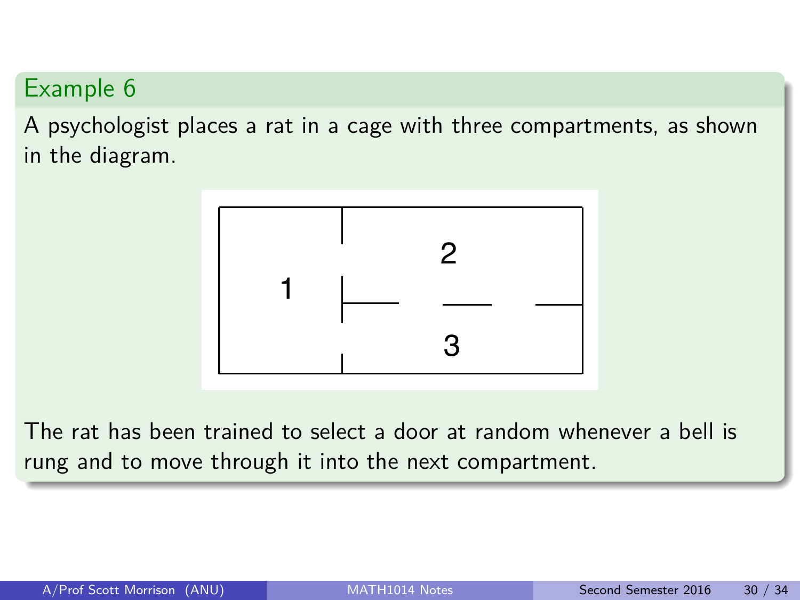A psychologist places a rat in a cage with three compartments, as shown in the diagram.



The rat has been trained to select a door at random whenever a bell is rung and to move through it into the next compartment.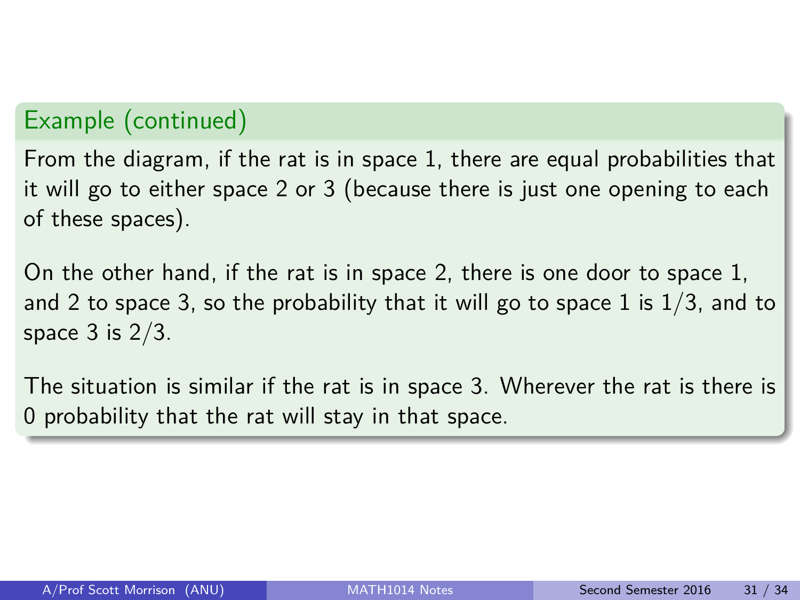#### Example (continued)

From the diagram, if the rat is in space 1, there are equal probabilities that it will go to either space 2 or 3 (because there is just one opening to each of these spaces).

On the other hand, if the rat is in space 2, there is one door to space 1, and 2 to space 3, so the probability that it will go to space 1 is  $1/3$ , and to space  $3$  is  $2/3$ .

The situation is similar if the rat is in space 3. Wherever the rat is there is 0 probability that the rat will stay in that space.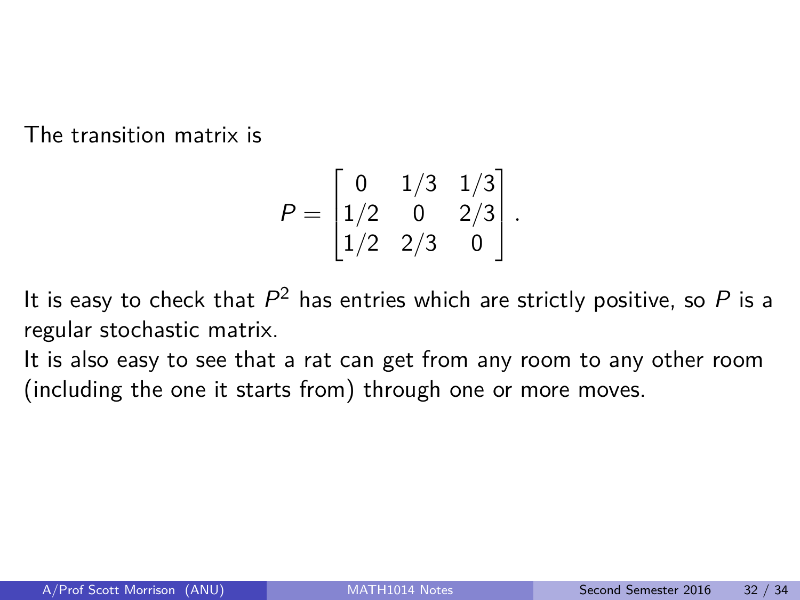The transition matrix is

$$
P = \begin{bmatrix} 0 & 1/3 & 1/3 \\ 1/2 & 0 & 2/3 \\ 1/2 & 2/3 & 0 \end{bmatrix}.
$$

It is easy to check that  $P^2$  has entries which are strictly positive, so  $P$  is a regular stochastic matrix.

It is also easy to see that a rat can get from any room to any other room (including the one it starts from) through one or more moves.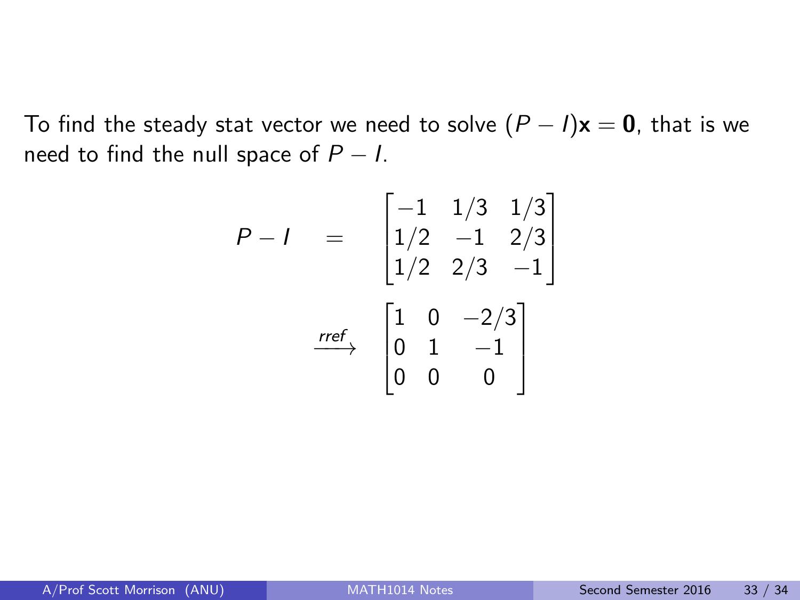To find the steady stat vector we need to solve  $(P - I)\mathbf{x} = \mathbf{0}$ , that is we need to find the null space of  $P - I$ .

$$
P - I = \begin{bmatrix} -1 & 1/3 & 1/3 \\ 1/2 & -1 & 2/3 \\ 1/2 & 2/3 & -1 \end{bmatrix}
$$

$$
\xrightarrow{ref} \begin{bmatrix} 1 & 0 & -2/3 \\ 0 & 1 & -1 \\ 0 & 0 & 0 \end{bmatrix}
$$